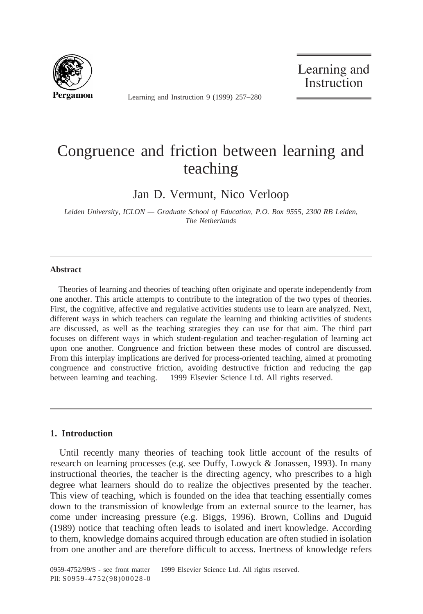

Learning and Instruction 9 (1999) 257–280

Learning and Instruction

# Congruence and friction between learning and teaching

Jan D. Vermunt, Nico Verloop

*Leiden University, ICLON — Graduate School of Education, P.O. Box 9555, 2300 RB Leiden, The Netherlands*

#### **Abstract**

Theories of learning and theories of teaching often originate and operate independently from one another. This article attempts to contribute to the integration of the two types of theories. First, the cognitive, affective and regulative activities students use to learn are analyzed. Next, different ways in which teachers can regulate the learning and thinking activities of students are discussed, as well as the teaching strategies they can use for that aim. The third part focuses on different ways in which student-regulation and teacher-regulation of learning act upon one another. Congruence and friction between these modes of control are discussed. From this interplay implications are derived for process-oriented teaching, aimed at promoting congruence and constructive friction, avoiding destructive friction and reducing the gap between learning and teaching. © 1999 Elsevier Science Ltd. All rights reserved.

# **1. Introduction**

Until recently many theories of teaching took little account of the results of research on learning processes (e.g. see Duffy, Lowyck & Jonassen, 1993). In many instructional theories, the teacher is the directing agency, who prescribes to a high degree what learners should do to realize the objectives presented by the teacher. This view of teaching, which is founded on the idea that teaching essentially comes down to the transmission of knowledge from an external source to the learner, has come under increasing pressure (e.g. Biggs, 1996). Brown, Collins and Duguid (1989) notice that teaching often leads to isolated and inert knowledge. According to them, knowledge domains acquired through education are often studied in isolation from one another and are therefore difficult to access. Inertness of knowledge refers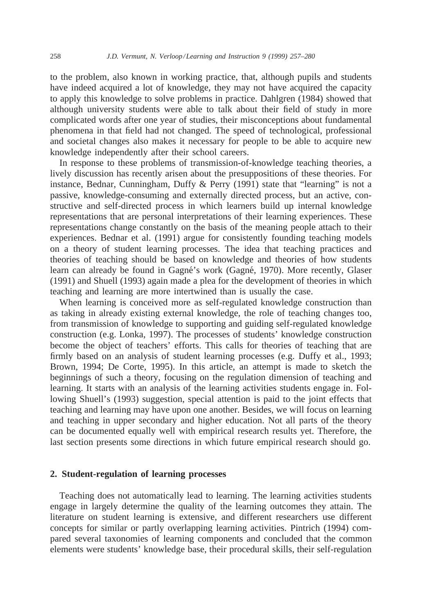to the problem, also known in working practice, that, although pupils and students have indeed acquired a lot of knowledge, they may not have acquired the capacity to apply this knowledge to solve problems in practice. Dahlgren (1984) showed that although university students were able to talk about their field of study in more complicated words after one year of studies, their misconceptions about fundamental phenomena in that field had not changed. The speed of technological, professional and societal changes also makes it necessary for people to be able to acquire new knowledge independently after their school careers.

In response to these problems of transmission-of-knowledge teaching theories, a lively discussion has recently arisen about the presuppositions of these theories. For instance, Bednar, Cunningham, Duffy & Perry (1991) state that "learning" is not a passive, knowledge-consuming and externally directed process, but an active, constructive and self-directed process in which learners build up internal knowledge representations that are personal interpretations of their learning experiences. These representations change constantly on the basis of the meaning people attach to their experiences. Bednar et al. (1991) argue for consistently founding teaching models on a theory of student learning processes. The idea that teaching practices and theories of teaching should be based on knowledge and theories of how students learn can already be found in Gagné's work (Gagné, 1970). More recently, Glaser (1991) and Shuell (1993) again made a plea for the development of theories in which teaching and learning are more intertwined than is usually the case.

When learning is conceived more as self-regulated knowledge construction than as taking in already existing external knowledge, the role of teaching changes too, from transmission of knowledge to supporting and guiding self-regulated knowledge construction (e.g. Lonka, 1997). The processes of students' knowledge construction become the object of teachers' efforts. This calls for theories of teaching that are firmly based on an analysis of student learning processes (e.g. Duffy et al., 1993; Brown, 1994; De Corte, 1995). In this article, an attempt is made to sketch the beginnings of such a theory, focusing on the regulation dimension of teaching and learning. It starts with an analysis of the learning activities students engage in. Following Shuell's (1993) suggestion, special attention is paid to the joint effects that teaching and learning may have upon one another. Besides, we will focus on learning and teaching in upper secondary and higher education. Not all parts of the theory can be documented equally well with empirical research results yet. Therefore, the last section presents some directions in which future empirical research should go.

#### **2. Student-regulation of learning processes**

Teaching does not automatically lead to learning. The learning activities students engage in largely determine the quality of the learning outcomes they attain. The literature on student learning is extensive, and different researchers use different concepts for similar or partly overlapping learning activities. Pintrich (1994) compared several taxonomies of learning components and concluded that the common elements were students' knowledge base, their procedural skills, their self-regulation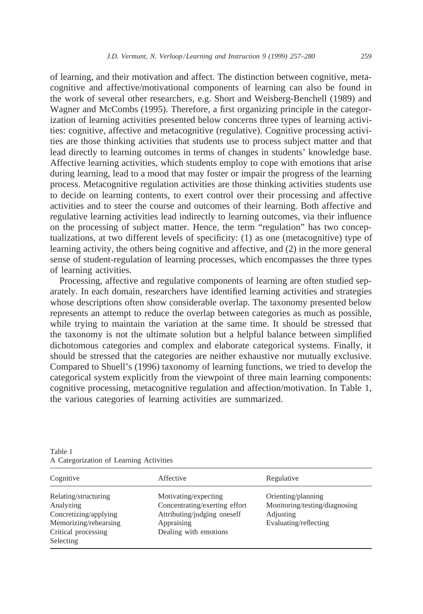of learning, and their motivation and affect. The distinction between cognitive, metacognitive and affective/motivational components of learning can also be found in the work of several other researchers, e.g. Short and Weisberg-Benchell (1989) and Wagner and McCombs (1995). Therefore, a first organizing principle in the categorization of learning activities presented below concerns three types of learning activities: cognitive, affective and metacognitive (regulative). Cognitive processing activities are those thinking activities that students use to process subject matter and that lead directly to learning outcomes in terms of changes in students' knowledge base. Affective learning activities, which students employ to cope with emotions that arise during learning, lead to a mood that may foster or impair the progress of the learning process. Metacognitive regulation activities are those thinking activities students use to decide on learning contents, to exert control over their processing and affective activities and to steer the course and outcomes of their learning. Both affective and regulative learning activities lead indirectly to learning outcomes, via their influence on the processing of subject matter. Hence, the term "regulation" has two conceptualizations, at two different levels of specificity: (1) as one (metacognitive) type of learning activity, the others being cognitive and affective, and (2) in the more general sense of student-regulation of learning processes, which encompasses the three types of learning activities.

Processing, affective and regulative components of learning are often studied separately. In each domain, researchers have identified learning activities and strategies whose descriptions often show considerable overlap. The taxonomy presented below represents an attempt to reduce the overlap between categories as much as possible, while trying to maintain the variation at the same time. It should be stressed that the taxonomy is not the ultimate solution but a helpful balance between simplified dichotomous categories and complex and elaborate categorical systems. Finally, it should be stressed that the categories are neither exhaustive nor mutually exclusive. Compared to Shuell's (1996) taxonomy of learning functions, we tried to develop the categorical system explicitly from the viewpoint of three main learning components: cognitive processing, metacognitive regulation and affection/motivation. In Table 1, the various categories of learning activities are summarized.

| Cognitive                         | Affective                                             | Regulative                                          |
|-----------------------------------|-------------------------------------------------------|-----------------------------------------------------|
| Relating/structuring<br>Analyzing | Motivating/expecting<br>Concentrating/exerting effort | Orienting/planning<br>Monitoring/testing/diagnosing |
| Concretizing/applying             | Attributing/judging oneself                           | Adjusting                                           |
| Memorizing/rehearsing             | Appraising                                            | Evaluating/reflecting                               |
| Critical processing<br>Selecting  | Dealing with emotions                                 |                                                     |

Table 1 A Categorization of Learning Activities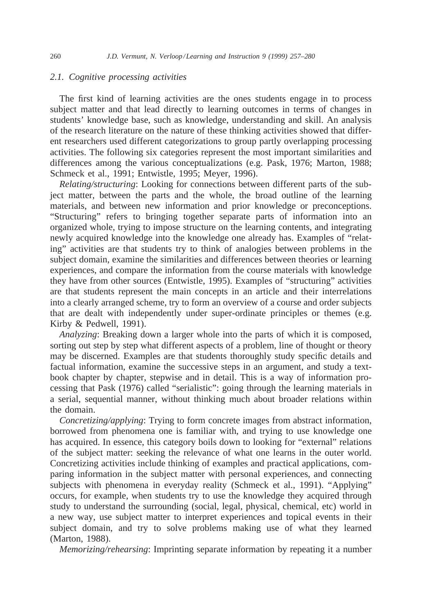## *2.1. Cognitive processing activities*

The first kind of learning activities are the ones students engage in to process subject matter and that lead directly to learning outcomes in terms of changes in students' knowledge base, such as knowledge, understanding and skill. An analysis of the research literature on the nature of these thinking activities showed that different researchers used different categorizations to group partly overlapping processing activities. The following six categories represent the most important similarities and differences among the various conceptualizations (e.g. Pask, 1976; Marton, 1988; Schmeck et al., 1991; Entwistle, 1995; Meyer, 1996).

*Relating/structuring*: Looking for connections between different parts of the subject matter, between the parts and the whole, the broad outline of the learning materials, and between new information and prior knowledge or preconceptions. "Structuring" refers to bringing together separate parts of information into an organized whole, trying to impose structure on the learning contents, and integrating newly acquired knowledge into the knowledge one already has. Examples of "relating" activities are that students try to think of analogies between problems in the subject domain, examine the similarities and differences between theories or learning experiences, and compare the information from the course materials with knowledge they have from other sources (Entwistle, 1995). Examples of "structuring" activities are that students represent the main concepts in an article and their interrelations into a clearly arranged scheme, try to form an overview of a course and order subjects that are dealt with independently under super-ordinate principles or themes (e.g. Kirby & Pedwell, 1991).

*Analyzing*: Breaking down a larger whole into the parts of which it is composed, sorting out step by step what different aspects of a problem, line of thought or theory may be discerned. Examples are that students thoroughly study specific details and factual information, examine the successive steps in an argument, and study a textbook chapter by chapter, stepwise and in detail. This is a way of information processing that Pask (1976) called "serialistic": going through the learning materials in a serial, sequential manner, without thinking much about broader relations within the domain.

*Concretizing/applying*: Trying to form concrete images from abstract information, borrowed from phenomena one is familiar with, and trying to use knowledge one has acquired. In essence, this category boils down to looking for "external" relations of the subject matter: seeking the relevance of what one learns in the outer world. Concretizing activities include thinking of examples and practical applications, comparing information in the subject matter with personal experiences, and connecting subjects with phenomena in everyday reality (Schmeck et al., 1991). "Applying" occurs, for example, when students try to use the knowledge they acquired through study to understand the surrounding (social, legal, physical, chemical, etc) world in a new way, use subject matter to interpret experiences and topical events in their subject domain, and try to solve problems making use of what they learned (Marton, 1988).

*Memorizing/rehearsing*: Imprinting separate information by repeating it a number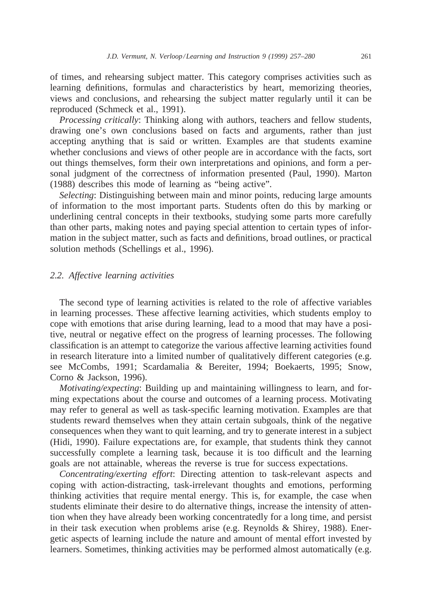of times, and rehearsing subject matter. This category comprises activities such as learning definitions, formulas and characteristics by heart, memorizing theories, views and conclusions, and rehearsing the subject matter regularly until it can be reproduced (Schmeck et al., 1991).

*Processing critically*: Thinking along with authors, teachers and fellow students, drawing one's own conclusions based on facts and arguments, rather than just accepting anything that is said or written. Examples are that students examine whether conclusions and views of other people are in accordance with the facts, sort out things themselves, form their own interpretations and opinions, and form a personal judgment of the correctness of information presented (Paul, 1990). Marton (1988) describes this mode of learning as "being active".

*Selecting*: Distinguishing between main and minor points, reducing large amounts of information to the most important parts. Students often do this by marking or underlining central concepts in their textbooks, studying some parts more carefully than other parts, making notes and paying special attention to certain types of information in the subject matter, such as facts and definitions, broad outlines, or practical solution methods (Schellings et al., 1996).

#### *2.2. Affective learning activities*

The second type of learning activities is related to the role of affective variables in learning processes. These affective learning activities, which students employ to cope with emotions that arise during learning, lead to a mood that may have a positive, neutral or negative effect on the progress of learning processes. The following classification is an attempt to categorize the various affective learning activities found in research literature into a limited number of qualitatively different categories (e.g. see McCombs, 1991; Scardamalia & Bereiter, 1994; Boekaerts, 1995; Snow, Corno & Jackson, 1996).

*Motivating/expecting*: Building up and maintaining willingness to learn, and forming expectations about the course and outcomes of a learning process. Motivating may refer to general as well as task-specific learning motivation. Examples are that students reward themselves when they attain certain subgoals, think of the negative consequences when they want to quit learning, and try to generate interest in a subject (Hidi, 1990). Failure expectations are, for example, that students think they cannot successfully complete a learning task, because it is too difficult and the learning goals are not attainable, whereas the reverse is true for success expectations.

*Concentrating/exerting effort*: Directing attention to task-relevant aspects and coping with action-distracting, task-irrelevant thoughts and emotions, performing thinking activities that require mental energy. This is, for example, the case when students eliminate their desire to do alternative things, increase the intensity of attention when they have already been working concentratedly for a long time, and persist in their task execution when problems arise (e.g. Reynolds & Shirey, 1988). Energetic aspects of learning include the nature and amount of mental effort invested by learners. Sometimes, thinking activities may be performed almost automatically (e.g.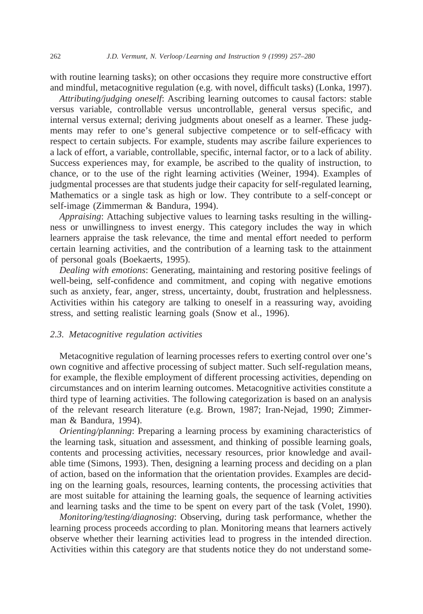with routine learning tasks); on other occasions they require more constructive effort and mindful, metacognitive regulation (e.g. with novel, difficult tasks) (Lonka, 1997).

*Attributing/judging oneself*: Ascribing learning outcomes to causal factors: stable versus variable, controllable versus uncontrollable, general versus specific, and internal versus external; deriving judgments about oneself as a learner. These judgments may refer to one's general subjective competence or to self-efficacy with respect to certain subjects. For example, students may ascribe failure experiences to a lack of effort, a variable, controllable, specific, internal factor, or to a lack of ability. Success experiences may, for example, be ascribed to the quality of instruction, to chance, or to the use of the right learning activities (Weiner, 1994). Examples of judgmental processes are that students judge their capacity for self-regulated learning, Mathematics or a single task as high or low. They contribute to a self-concept or self-image (Zimmerman & Bandura, 1994).

*Appraising*: Attaching subjective values to learning tasks resulting in the willingness or unwillingness to invest energy. This category includes the way in which learners appraise the task relevance, the time and mental effort needed to perform certain learning activities, and the contribution of a learning task to the attainment of personal goals (Boekaerts, 1995).

*Dealing with emotions*: Generating, maintaining and restoring positive feelings of well-being, self-confidence and commitment, and coping with negative emotions such as anxiety, fear, anger, stress, uncertainty, doubt, frustration and helplessness. Activities within his category are talking to oneself in a reassuring way, avoiding stress, and setting realistic learning goals (Snow et al., 1996).

## *2.3. Metacognitive regulation activities*

Metacognitive regulation of learning processes refers to exerting control over one's own cognitive and affective processing of subject matter. Such self-regulation means, for example, the flexible employment of different processing activities, depending on circumstances and on interim learning outcomes. Metacognitive activities constitute a third type of learning activities. The following categorization is based on an analysis of the relevant research literature (e.g. Brown, 1987; Iran-Nejad, 1990; Zimmerman & Bandura, 1994).

*Orienting/planning*: Preparing a learning process by examining characteristics of the learning task, situation and assessment, and thinking of possible learning goals, contents and processing activities, necessary resources, prior knowledge and available time (Simons, 1993). Then, designing a learning process and deciding on a plan of action, based on the information that the orientation provides. Examples are deciding on the learning goals, resources, learning contents, the processing activities that are most suitable for attaining the learning goals, the sequence of learning activities and learning tasks and the time to be spent on every part of the task (Volet, 1990).

*Monitoring/testing/diagnosing*: Observing, during task performance, whether the learning process proceeds according to plan. Monitoring means that learners actively observe whether their learning activities lead to progress in the intended direction. Activities within this category are that students notice they do not understand some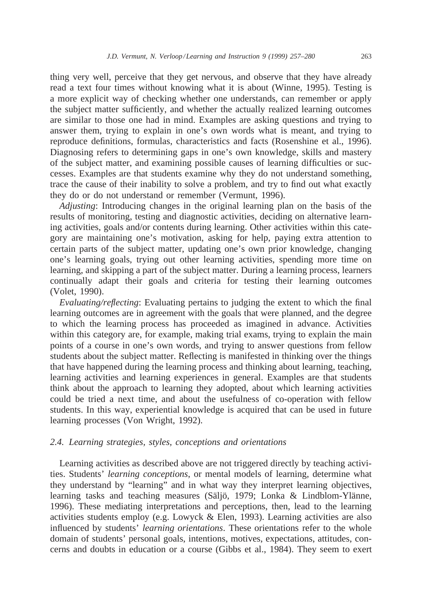thing very well, perceive that they get nervous, and observe that they have already read a text four times without knowing what it is about (Winne, 1995). Testing is a more explicit way of checking whether one understands, can remember or apply the subject matter sufficiently, and whether the actually realized learning outcomes are similar to those one had in mind. Examples are asking questions and trying to answer them, trying to explain in one's own words what is meant, and trying to reproduce definitions, formulas, characteristics and facts (Rosenshine et al., 1996). Diagnosing refers to determining gaps in one's own knowledge, skills and mastery of the subject matter, and examining possible causes of learning difficulties or successes. Examples are that students examine why they do not understand something, trace the cause of their inability to solve a problem, and try to find out what exactly they do or do not understand or remember (Vermunt, 1996).

*Adjusting*: Introducing changes in the original learning plan on the basis of the results of monitoring, testing and diagnostic activities, deciding on alternative learning activities, goals and/or contents during learning. Other activities within this category are maintaining one's motivation, asking for help, paying extra attention to certain parts of the subject matter, updating one's own prior knowledge, changing one's learning goals, trying out other learning activities, spending more time on learning, and skipping a part of the subject matter. During a learning process, learners continually adapt their goals and criteria for testing their learning outcomes (Volet, 1990).

*Evaluating/reflecting*: Evaluating pertains to judging the extent to which the final learning outcomes are in agreement with the goals that were planned, and the degree to which the learning process has proceeded as imagined in advance. Activities within this category are, for example, making trial exams, trying to explain the main points of a course in one's own words, and trying to answer questions from fellow students about the subject matter. Reflecting is manifested in thinking over the things that have happened during the learning process and thinking about learning, teaching, learning activities and learning experiences in general. Examples are that students think about the approach to learning they adopted, about which learning activities could be tried a next time, and about the usefulness of co-operation with fellow students. In this way, experiential knowledge is acquired that can be used in future learning processes (Von Wright, 1992).

## *2.4. Learning strategies, styles, conceptions and orientations*

Learning activities as described above are not triggered directly by teaching activities. Students' *learning conceptions*, or mental models of learning, determine what they understand by "learning" and in what way they interpret learning objectives, learning tasks and teaching measures (Saïljö, 1979; Lonka & Lindblom-Ylanne, 1996). These mediating interpretations and perceptions, then, lead to the learning activities students employ (e.g. Lowyck & Elen, 1993). Learning activities are also influenced by students' *learning orientations*. These orientations refer to the whole domain of students' personal goals, intentions, motives, expectations, attitudes, concerns and doubts in education or a course (Gibbs et al., 1984). They seem to exert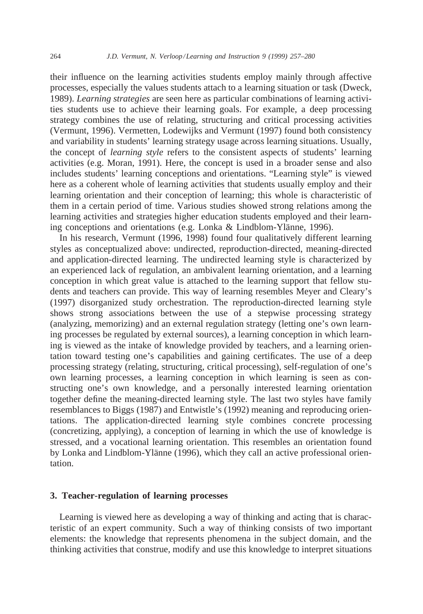their influence on the learning activities students employ mainly through affective processes, especially the values students attach to a learning situation or task (Dweck, 1989). *Learning strategies* are seen here as particular combinations of learning activities students use to achieve their learning goals. For example, a deep processing strategy combines the use of relating, structuring and critical processing activities (Vermunt, 1996). Vermetten, Lodewijks and Vermunt (1997) found both consistency and variability in students' learning strategy usage across learning situations. Usually, the concept of *learning style* refers to the consistent aspects of students' learning activities (e.g. Moran, 1991). Here, the concept is used in a broader sense and also includes students' learning conceptions and orientations. "Learning style" is viewed here as a coherent whole of learning activities that students usually employ and their learning orientation and their conception of learning; this whole is characteristic of them in a certain period of time. Various studies showed strong relations among the learning activities and strategies higher education students employed and their learning conceptions and orientations (e.g. Lonka  $& Lindblom-Ylänne, 1996$ ).

In his research, Vermunt (1996, 1998) found four qualitatively different learning styles as conceptualized above: undirected, reproduction-directed, meaning-directed and application-directed learning. The undirected learning style is characterized by an experienced lack of regulation, an ambivalent learning orientation, and a learning conception in which great value is attached to the learning support that fellow students and teachers can provide. This way of learning resembles Meyer and Cleary's (1997) disorganized study orchestration. The reproduction-directed learning style shows strong associations between the use of a stepwise processing strategy (analyzing, memorizing) and an external regulation strategy (letting one's own learning processes be regulated by external sources), a learning conception in which learning is viewed as the intake of knowledge provided by teachers, and a learning orientation toward testing one's capabilities and gaining certificates. The use of a deep processing strategy (relating, structuring, critical processing), self-regulation of one's own learning processes, a learning conception in which learning is seen as constructing one's own knowledge, and a personally interested learning orientation together define the meaning-directed learning style. The last two styles have family resemblances to Biggs (1987) and Entwistle's (1992) meaning and reproducing orientations. The application-directed learning style combines concrete processing (concretizing, applying), a conception of learning in which the use of knowledge is stressed, and a vocational learning orientation. This resembles an orientation found by Lonka and Lindblom-Ylänne (1996), which they call an active professional orientation.

#### **3. Teacher-regulation of learning processes**

Learning is viewed here as developing a way of thinking and acting that is characteristic of an expert community. Such a way of thinking consists of two important elements: the knowledge that represents phenomena in the subject domain, and the thinking activities that construe, modify and use this knowledge to interpret situations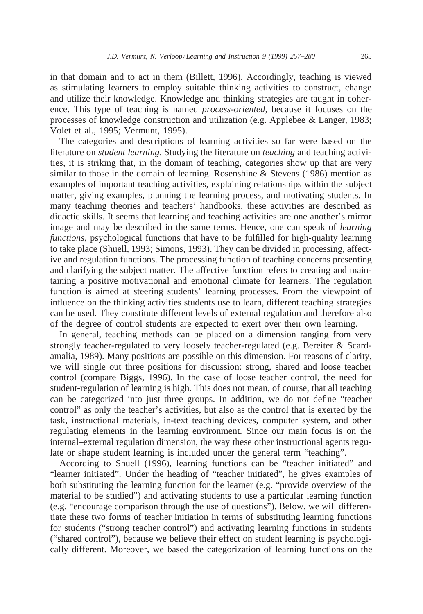in that domain and to act in them (Billett, 1996). Accordingly, teaching is viewed as stimulating learners to employ suitable thinking activities to construct, change and utilize their knowledge. Knowledge and thinking strategies are taught in coherence. This type of teaching is named *process-oriented*, because it focuses on the processes of knowledge construction and utilization (e.g. Applebee & Langer, 1983; Volet et al., 1995; Vermunt, 1995).

The categories and descriptions of learning activities so far were based on the literature on *student learning*. Studying the literature on *teaching* and teaching activities, it is striking that, in the domain of teaching, categories show up that are very similar to those in the domain of learning. Rosenshine & Stevens (1986) mention as examples of important teaching activities, explaining relationships within the subject matter, giving examples, planning the learning process, and motivating students. In many teaching theories and teachers' handbooks, these activities are described as didactic skills. It seems that learning and teaching activities are one another's mirror image and may be described in the same terms. Hence, one can speak of *learning functions*, psychological functions that have to be fulfilled for high-quality learning to take place (Shuell, 1993; Simons, 1993). They can be divided in processing, affective and regulation functions. The processing function of teaching concerns presenting and clarifying the subject matter. The affective function refers to creating and maintaining a positive motivational and emotional climate for learners. The regulation function is aimed at steering students' learning processes. From the viewpoint of influence on the thinking activities students use to learn, different teaching strategies can be used. They constitute different levels of external regulation and therefore also of the degree of control students are expected to exert over their own learning.

In general, teaching methods can be placed on a dimension ranging from very strongly teacher-regulated to very loosely teacher-regulated (e.g. Bereiter & Scardamalia, 1989). Many positions are possible on this dimension. For reasons of clarity, we will single out three positions for discussion: strong, shared and loose teacher control (compare Biggs, 1996). In the case of loose teacher control, the need for student-regulation of learning is high. This does not mean, of course, that all teaching can be categorized into just three groups. In addition, we do not define "teacher control" as only the teacher's activities, but also as the control that is exerted by the task, instructional materials, in-text teaching devices, computer system, and other regulating elements in the learning environment. Since our main focus is on the internal–external regulation dimension, the way these other instructional agents regulate or shape student learning is included under the general term "teaching".

According to Shuell (1996), learning functions can be "teacher initiated" and "learner initiated". Under the heading of "teacher initiated", he gives examples of both substituting the learning function for the learner (e.g. "provide overview of the material to be studied") and activating students to use a particular learning function (e.g. "encourage comparison through the use of questions"). Below, we will differentiate these two forms of teacher initiation in terms of substituting learning functions for students ("strong teacher control") and activating learning functions in students ("shared control"), because we believe their effect on student learning is psychologically different. Moreover, we based the categorization of learning functions on the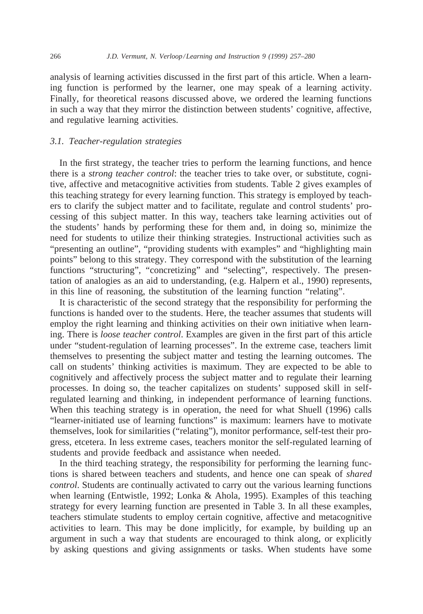analysis of learning activities discussed in the first part of this article. When a learning function is performed by the learner, one may speak of a learning activity. Finally, for theoretical reasons discussed above, we ordered the learning functions in such a way that they mirror the distinction between students' cognitive, affective, and regulative learning activities.

#### *3.1. Teacher-regulation strategies*

In the first strategy, the teacher tries to perform the learning functions, and hence there is a *strong teacher control*: the teacher tries to take over, or substitute, cognitive, affective and metacognitive activities from students. Table 2 gives examples of this teaching strategy for every learning function. This strategy is employed by teachers to clarify the subject matter and to facilitate, regulate and control students' processing of this subject matter. In this way, teachers take learning activities out of the students' hands by performing these for them and, in doing so, minimize the need for students to utilize their thinking strategies. Instructional activities such as "presenting an outline", "providing students with examples" and "highlighting main points" belong to this strategy. They correspond with the substitution of the learning functions "structuring", "concretizing" and "selecting", respectively. The presentation of analogies as an aid to understanding, (e.g. Halpern et al., 1990) represents, in this line of reasoning, the substitution of the learning function "relating".

It is characteristic of the second strategy that the responsibility for performing the functions is handed over to the students. Here, the teacher assumes that students will employ the right learning and thinking activities on their own initiative when learning. There is *loose teacher control*. Examples are given in the first part of this article under "student-regulation of learning processes". In the extreme case, teachers limit themselves to presenting the subject matter and testing the learning outcomes. The call on students' thinking activities is maximum. They are expected to be able to cognitively and affectively process the subject matter and to regulate their learning processes. In doing so, the teacher capitalizes on students' supposed skill in selfregulated learning and thinking, in independent performance of learning functions. When this teaching strategy is in operation, the need for what Shuell (1996) calls "learner-initiated use of learning functions" is maximum: learners have to motivate themselves, look for similarities ("relating"), monitor performance, self-test their progress, etcetera. In less extreme cases, teachers monitor the self-regulated learning of students and provide feedback and assistance when needed.

In the third teaching strategy, the responsibility for performing the learning functions is shared between teachers and students, and hence one can speak of *shared control*. Students are continually activated to carry out the various learning functions when learning (Entwistle, 1992; Lonka & Ahola, 1995). Examples of this teaching strategy for every learning function are presented in Table 3. In all these examples, teachers stimulate students to employ certain cognitive, affective and metacognitive activities to learn. This may be done implicitly, for example, by building up an argument in such a way that students are encouraged to think along, or explicitly by asking questions and giving assignments or tasks. When students have some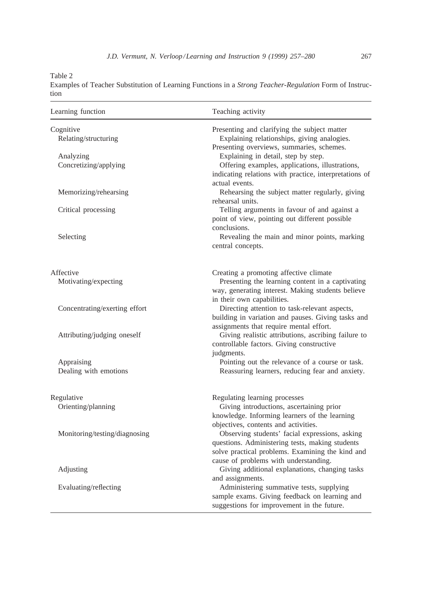Table 2

Examples of Teacher Substitution of Learning Functions in a *Strong Teacher-Regulation* Form of Instruction

| Learning function                   | Teaching activity                                                                                                                                                  |
|-------------------------------------|--------------------------------------------------------------------------------------------------------------------------------------------------------------------|
| Cognitive<br>Relating/structuring   | Presenting and clarifying the subject matter<br>Explaining relationships, giving analogies.<br>Presenting overviews, summaries, schemes.                           |
| Analyzing<br>Concretizing/applying  | Explaining in detail, step by step.<br>Offering examples, applications, illustrations,<br>indicating relations with practice, interpretations of<br>actual events. |
| Memorizing/rehearsing               | Rehearsing the subject matter regularly, giving<br>rehearsal units.                                                                                                |
| Critical processing                 | Telling arguments in favour of and against a<br>point of view, pointing out different possible<br>conclusions.                                                     |
| Selecting                           | Revealing the main and minor points, marking<br>central concepts.                                                                                                  |
| Affective                           | Creating a promoting affective climate                                                                                                                             |
| Motivating/expecting                | Presenting the learning content in a captivating<br>way, generating interest. Making students believe<br>in their own capabilities.                                |
| Concentrating/exerting effort       | Directing attention to task-relevant aspects,<br>building in variation and pauses. Giving tasks and<br>assignments that require mental effort.                     |
| Attributing/judging oneself         | Giving realistic attributions, ascribing failure to<br>controllable factors. Giving constructive<br>judgments.                                                     |
| Appraising<br>Dealing with emotions | Pointing out the relevance of a course or task.<br>Reassuring learners, reducing fear and anxiety.                                                                 |
| Regulative                          | Regulating learning processes                                                                                                                                      |
| Orienting/planning                  | Giving introductions, ascertaining prior<br>knowledge. Informing learners of the learning<br>objectives, contents and activities.                                  |
| Monitoring/testing/diagnosing       | Observing students' facial expressions, asking<br>questions. Administering tests, making students<br>solve practical problems. Examining the kind and              |
| Adjusting                           | cause of problems with understanding.<br>Giving additional explanations, changing tasks<br>and assignments.                                                        |
| Evaluating/reflecting               | Administering summative tests, supplying<br>sample exams. Giving feedback on learning and<br>suggestions for improvement in the future.                            |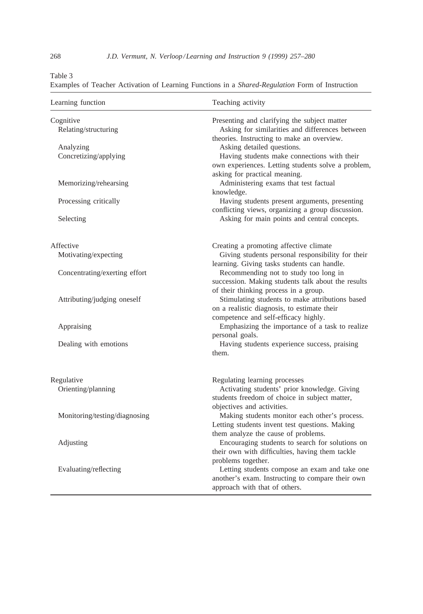Table 3

Examples of Teacher Activation of Learning Functions in a *Shared-Regulation* Form of Instruction

| Learning function                  | Teaching activity                                                                                                                                                               |
|------------------------------------|---------------------------------------------------------------------------------------------------------------------------------------------------------------------------------|
| Cognitive<br>Relating/structuring  | Presenting and clarifying the subject matter<br>Asking for similarities and differences between<br>theories. Instructing to make an overview.                                   |
| Analyzing<br>Concretizing/applying | Asking detailed questions.<br>Having students make connections with their<br>own experiences. Letting students solve a problem,                                                 |
| Memorizing/rehearsing              | asking for practical meaning.<br>Administering exams that test factual<br>knowledge.                                                                                            |
| Processing critically              | Having students present arguments, presenting<br>conflicting views, organizing a group discussion.                                                                              |
| Selecting                          | Asking for main points and central concepts.                                                                                                                                    |
| Affective<br>Motivating/expecting  | Creating a promoting affective climate<br>Giving students personal responsibility for their                                                                                     |
| Concentrating/exerting effort      | learning. Giving tasks students can handle.<br>Recommending not to study too long in<br>succession. Making students talk about the results                                      |
| Attributing/judging oneself        | of their thinking process in a group.<br>Stimulating students to make attributions based<br>on a realistic diagnosis, to estimate their<br>competence and self-efficacy highly. |
| Appraising                         | Emphasizing the importance of a task to realize<br>personal goals.                                                                                                              |
| Dealing with emotions              | Having students experience success, praising<br>them.                                                                                                                           |
| Regulative<br>Orienting/planning   | Regulating learning processes<br>Activating students' prior knowledge. Giving<br>students freedom of choice in subject matter,                                                  |
| Monitoring/testing/diagnosing      | objectives and activities.<br>Making students monitor each other's process.<br>Letting students invent test questions. Making                                                   |
| Adjusting                          | them analyze the cause of problems.<br>Encouraging students to search for solutions on<br>their own with difficulties, having them tackle<br>problems together.                 |
| Evaluating/reflecting              | Letting students compose an exam and take one<br>another's exam. Instructing to compare their own<br>approach with that of others.                                              |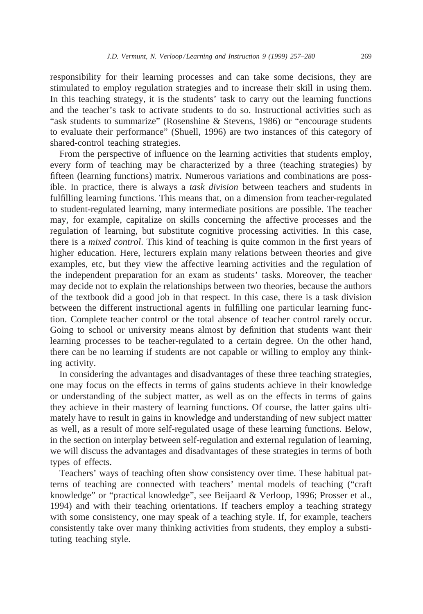responsibility for their learning processes and can take some decisions, they are stimulated to employ regulation strategies and to increase their skill in using them. In this teaching strategy, it is the students' task to carry out the learning functions and the teacher's task to activate students to do so. Instructional activities such as "ask students to summarize" (Rosenshine & Stevens, 1986) or "encourage students to evaluate their performance" (Shuell, 1996) are two instances of this category of shared-control teaching strategies.

From the perspective of influence on the learning activities that students employ, every form of teaching may be characterized by a three (teaching strategies) by fifteen (learning functions) matrix. Numerous variations and combinations are possible. In practice, there is always a *task division* between teachers and students in fulfilling learning functions. This means that, on a dimension from teacher-regulated to student-regulated learning, many intermediate positions are possible. The teacher may, for example, capitalize on skills concerning the affective processes and the regulation of learning, but substitute cognitive processing activities. In this case, there is a *mixed control*. This kind of teaching is quite common in the first years of higher education. Here, lecturers explain many relations between theories and give examples, etc, but they view the affective learning activities and the regulation of the independent preparation for an exam as students' tasks. Moreover, the teacher may decide not to explain the relationships between two theories, because the authors of the textbook did a good job in that respect. In this case, there is a task division between the different instructional agents in fulfilling one particular learning function. Complete teacher control or the total absence of teacher control rarely occur. Going to school or university means almost by definition that students want their learning processes to be teacher-regulated to a certain degree. On the other hand, there can be no learning if students are not capable or willing to employ any thinking activity.

In considering the advantages and disadvantages of these three teaching strategies, one may focus on the effects in terms of gains students achieve in their knowledge or understanding of the subject matter, as well as on the effects in terms of gains they achieve in their mastery of learning functions. Of course, the latter gains ultimately have to result in gains in knowledge and understanding of new subject matter as well, as a result of more self-regulated usage of these learning functions. Below, in the section on interplay between self-regulation and external regulation of learning, we will discuss the advantages and disadvantages of these strategies in terms of both types of effects.

Teachers' ways of teaching often show consistency over time. These habitual patterns of teaching are connected with teachers' mental models of teaching ("craft knowledge" or "practical knowledge", see Beijaard & Verloop, 1996; Prosser et al., 1994) and with their teaching orientations. If teachers employ a teaching strategy with some consistency, one may speak of a teaching style. If, for example, teachers consistently take over many thinking activities from students, they employ a substituting teaching style.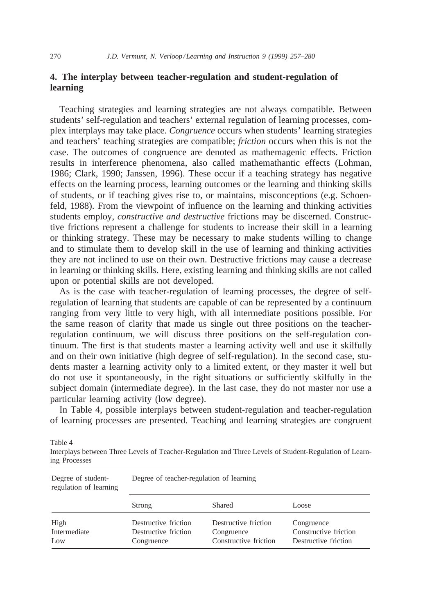# **4. The interplay between teacher-regulation and student-regulation of learning**

Teaching strategies and learning strategies are not always compatible. Between students' self-regulation and teachers' external regulation of learning processes, complex interplays may take place. *Congruence* occurs when students' learning strategies and teachers' teaching strategies are compatible; *friction* occurs when this is not the case. The outcomes of congruence are denoted as mathemagenic effects. Friction results in interference phenomena, also called mathemathantic effects (Lohman, 1986; Clark, 1990; Janssen, 1996). These occur if a teaching strategy has negative effects on the learning process, learning outcomes or the learning and thinking skills of students, or if teaching gives rise to, or maintains, misconceptions (e.g. Schoenfeld, 1988). From the viewpoint of influence on the learning and thinking activities students employ, *constructive and destructive* frictions may be discerned. Constructive frictions represent a challenge for students to increase their skill in a learning or thinking strategy. These may be necessary to make students willing to change and to stimulate them to develop skill in the use of learning and thinking activities they are not inclined to use on their own. Destructive frictions may cause a decrease in learning or thinking skills. Here, existing learning and thinking skills are not called upon or potential skills are not developed.

As is the case with teacher-regulation of learning processes, the degree of selfregulation of learning that students are capable of can be represented by a continuum ranging from very little to very high, with all intermediate positions possible. For the same reason of clarity that made us single out three positions on the teacherregulation continuum, we will discuss three positions on the self-regulation continuum. The first is that students master a learning activity well and use it skilfully and on their own initiative (high degree of self-regulation). In the second case, students master a learning activity only to a limited extent, or they master it well but do not use it spontaneously, in the right situations or sufficiently skilfully in the subject domain (intermediate degree). In the last case, they do not master nor use a particular learning activity (low degree).

In Table 4, possible interplays between student-regulation and teacher-regulation of learning processes are presented. Teaching and learning strategies are congruent

| ing Processes         |                                          |  |
|-----------------------|------------------------------------------|--|
| Degree of student-    | Degree of teacher-regulation of learning |  |
| requision of learning |                                          |  |

|               |  | Interplays between Three Levels of Teacher-Regulation and Three Levels of Student-Regulation of Learn- |  |
|---------------|--|--------------------------------------------------------------------------------------------------------|--|
| ing Processes |  |                                                                                                        |  |
|               |  |                                                                                                        |  |

| regulation of learning      |                                                            |                                                             |                                                             |  |
|-----------------------------|------------------------------------------------------------|-------------------------------------------------------------|-------------------------------------------------------------|--|
|                             | Strong                                                     | Shared                                                      | Loose                                                       |  |
| High<br>Intermediate<br>Low | Destructive friction<br>Destructive friction<br>Congruence | Destructive friction<br>Congruence<br>Constructive friction | Congruence<br>Constructive friction<br>Destructive friction |  |

Table 4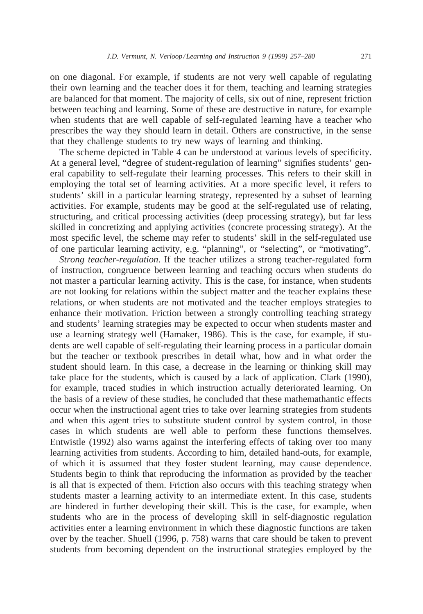on one diagonal. For example, if students are not very well capable of regulating their own learning and the teacher does it for them, teaching and learning strategies are balanced for that moment. The majority of cells, six out of nine, represent friction between teaching and learning. Some of these are destructive in nature, for example when students that are well capable of self-regulated learning have a teacher who prescribes the way they should learn in detail. Others are constructive, in the sense that they challenge students to try new ways of learning and thinking.

The scheme depicted in Table 4 can be understood at various levels of specificity. At a general level, "degree of student-regulation of learning" signifies students' general capability to self-regulate their learning processes. This refers to their skill in employing the total set of learning activities. At a more specific level, it refers to students' skill in a particular learning strategy, represented by a subset of learning activities. For example, students may be good at the self-regulated use of relating, structuring, and critical processing activities (deep processing strategy), but far less skilled in concretizing and applying activities (concrete processing strategy). At the most specific level, the scheme may refer to students' skill in the self-regulated use of one particular learning activity, e.g. "planning", or "selecting", or "motivating".

*Strong teacher-regulation*. If the teacher utilizes a strong teacher-regulated form of instruction, congruence between learning and teaching occurs when students do not master a particular learning activity. This is the case, for instance, when students are not looking for relations within the subject matter and the teacher explains these relations, or when students are not motivated and the teacher employs strategies to enhance their motivation. Friction between a strongly controlling teaching strategy and students' learning strategies may be expected to occur when students master and use a learning strategy well (Hamaker, 1986). This is the case, for example, if students are well capable of self-regulating their learning process in a particular domain but the teacher or textbook prescribes in detail what, how and in what order the student should learn. In this case, a decrease in the learning or thinking skill may take place for the students, which is caused by a lack of application. Clark (1990), for example, traced studies in which instruction actually deteriorated learning. On the basis of a review of these studies, he concluded that these mathemathantic effects occur when the instructional agent tries to take over learning strategies from students and when this agent tries to substitute student control by system control, in those cases in which students are well able to perform these functions themselves. Entwistle (1992) also warns against the interfering effects of taking over too many learning activities from students. According to him, detailed hand-outs, for example, of which it is assumed that they foster student learning, may cause dependence. Students begin to think that reproducing the information as provided by the teacher is all that is expected of them. Friction also occurs with this teaching strategy when students master a learning activity to an intermediate extent. In this case, students are hindered in further developing their skill. This is the case, for example, when students who are in the process of developing skill in self-diagnostic regulation activities enter a learning environment in which these diagnostic functions are taken over by the teacher. Shuell (1996, p. 758) warns that care should be taken to prevent students from becoming dependent on the instructional strategies employed by the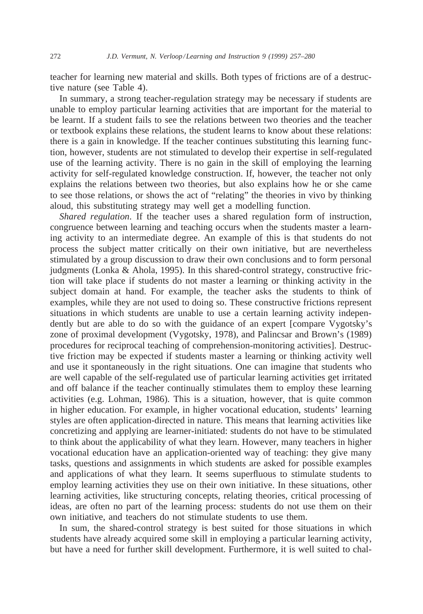teacher for learning new material and skills. Both types of frictions are of a destructive nature (see Table 4).

In summary, a strong teacher-regulation strategy may be necessary if students are unable to employ particular learning activities that are important for the material to be learnt. If a student fails to see the relations between two theories and the teacher or textbook explains these relations, the student learns to know about these relations: there is a gain in knowledge. If the teacher continues substituting this learning function, however, students are not stimulated to develop their expertise in self-regulated use of the learning activity. There is no gain in the skill of employing the learning activity for self-regulated knowledge construction. If, however, the teacher not only explains the relations between two theories, but also explains how he or she came to see those relations, or shows the act of "relating" the theories in vivo by thinking aloud, this substituting strategy may well get a modelling function.

*Shared regulation*. If the teacher uses a shared regulation form of instruction, congruence between learning and teaching occurs when the students master a learning activity to an intermediate degree. An example of this is that students do not process the subject matter critically on their own initiative, but are nevertheless stimulated by a group discussion to draw their own conclusions and to form personal judgments (Lonka & Ahola, 1995). In this shared-control strategy, constructive friction will take place if students do not master a learning or thinking activity in the subject domain at hand. For example, the teacher asks the students to think of examples, while they are not used to doing so. These constructive frictions represent situations in which students are unable to use a certain learning activity independently but are able to do so with the guidance of an expert [compare Vygotsky's zone of proximal development (Vygotsky, 1978), and Palincsar and Brown's (1989) procedures for reciprocal teaching of comprehension-monitoring activities]. Destructive friction may be expected if students master a learning or thinking activity well and use it spontaneously in the right situations. One can imagine that students who are well capable of the self-regulated use of particular learning activities get irritated and off balance if the teacher continually stimulates them to employ these learning activities (e.g. Lohman, 1986). This is a situation, however, that is quite common in higher education. For example, in higher vocational education, students' learning styles are often application-directed in nature. This means that learning activities like concretizing and applying are learner-initiated: students do not have to be stimulated to think about the applicability of what they learn. However, many teachers in higher vocational education have an application-oriented way of teaching: they give many tasks, questions and assignments in which students are asked for possible examples and applications of what they learn. It seems superfluous to stimulate students to employ learning activities they use on their own initiative. In these situations, other learning activities, like structuring concepts, relating theories, critical processing of ideas, are often no part of the learning process: students do not use them on their own initiative, and teachers do not stimulate students to use them.

In sum, the shared-control strategy is best suited for those situations in which students have already acquired some skill in employing a particular learning activity, but have a need for further skill development. Furthermore, it is well suited to chal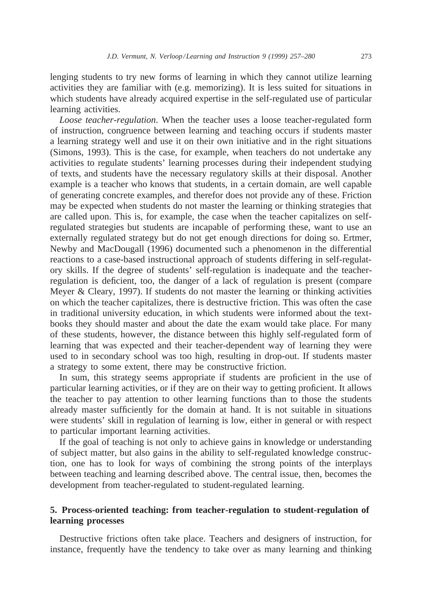lenging students to try new forms of learning in which they cannot utilize learning activities they are familiar with (e.g. memorizing). It is less suited for situations in which students have already acquired expertise in the self-regulated use of particular learning activities.

*Loose teacher-regulation*. When the teacher uses a loose teacher-regulated form of instruction, congruence between learning and teaching occurs if students master a learning strategy well and use it on their own initiative and in the right situations (Simons, 1993). This is the case, for example, when teachers do not undertake any activities to regulate students' learning processes during their independent studying of texts, and students have the necessary regulatory skills at their disposal. Another example is a teacher who knows that students, in a certain domain, are well capable of generating concrete examples, and therefor does not provide any of these. Friction may be expected when students do not master the learning or thinking strategies that are called upon. This is, for example, the case when the teacher capitalizes on selfregulated strategies but students are incapable of performing these, want to use an externally regulated strategy but do not get enough directions for doing so. Ertmer, Newby and MacDougall (1996) documented such a phenomenon in the differential reactions to a case-based instructional approach of students differing in self-regulatory skills. If the degree of students' self-regulation is inadequate and the teacherregulation is deficient, too, the danger of a lack of regulation is present (compare Meyer & Cleary, 1997). If students do not master the learning or thinking activities on which the teacher capitalizes, there is destructive friction. This was often the case in traditional university education, in which students were informed about the textbooks they should master and about the date the exam would take place. For many of these students, however, the distance between this highly self-regulated form of learning that was expected and their teacher-dependent way of learning they were used to in secondary school was too high, resulting in drop-out. If students master a strategy to some extent, there may be constructive friction.

In sum, this strategy seems appropriate if students are proficient in the use of particular learning activities, or if they are on their way to getting proficient. It allows the teacher to pay attention to other learning functions than to those the students already master sufficiently for the domain at hand. It is not suitable in situations were students' skill in regulation of learning is low, either in general or with respect to particular important learning activities.

If the goal of teaching is not only to achieve gains in knowledge or understanding of subject matter, but also gains in the ability to self-regulated knowledge construction, one has to look for ways of combining the strong points of the interplays between teaching and learning described above. The central issue, then, becomes the development from teacher-regulated to student-regulated learning.

# **5. Process-oriented teaching: from teacher-regulation to student-regulation of learning processes**

Destructive frictions often take place. Teachers and designers of instruction, for instance, frequently have the tendency to take over as many learning and thinking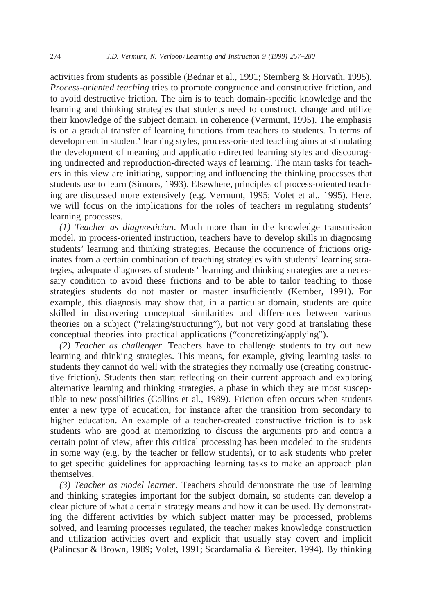activities from students as possible (Bednar et al., 1991; Sternberg & Horvath, 1995). *Process-oriented teaching* tries to promote congruence and constructive friction, and to avoid destructive friction. The aim is to teach domain-specific knowledge and the learning and thinking strategies that students need to construct, change and utilize their knowledge of the subject domain, in coherence (Vermunt, 1995). The emphasis is on a gradual transfer of learning functions from teachers to students. In terms of development in student' learning styles, process-oriented teaching aims at stimulating the development of meaning and application-directed learning styles and discouraging undirected and reproduction-directed ways of learning. The main tasks for teachers in this view are initiating, supporting and influencing the thinking processes that students use to learn (Simons, 1993). Elsewhere, principles of process-oriented teaching are discussed more extensively (e.g. Vermunt, 1995; Volet et al., 1995). Here, we will focus on the implications for the roles of teachers in regulating students' learning processes.

*(1) Teacher as diagnostician*. Much more than in the knowledge transmission model, in process-oriented instruction, teachers have to develop skills in diagnosing students' learning and thinking strategies. Because the occurrence of frictions originates from a certain combination of teaching strategies with students' learning strategies, adequate diagnoses of students' learning and thinking strategies are a necessary condition to avoid these frictions and to be able to tailor teaching to those strategies students do not master or master insufficiently (Kember, 1991). For example, this diagnosis may show that, in a particular domain, students are quite skilled in discovering conceptual similarities and differences between various theories on a subject ("relating/structuring"), but not very good at translating these conceptual theories into practical applications ("concretizing/applying").

*(2) Teacher as challenger*. Teachers have to challenge students to try out new learning and thinking strategies. This means, for example, giving learning tasks to students they cannot do well with the strategies they normally use (creating constructive friction). Students then start reflecting on their current approach and exploring alternative learning and thinking strategies, a phase in which they are most susceptible to new possibilities (Collins et al., 1989). Friction often occurs when students enter a new type of education, for instance after the transition from secondary to higher education. An example of a teacher-created constructive friction is to ask students who are good at memorizing to discuss the arguments pro and contra a certain point of view, after this critical processing has been modeled to the students in some way (e.g. by the teacher or fellow students), or to ask students who prefer to get specific guidelines for approaching learning tasks to make an approach plan themselves.

*(3) Teacher as model learner*. Teachers should demonstrate the use of learning and thinking strategies important for the subject domain, so students can develop a clear picture of what a certain strategy means and how it can be used. By demonstrating the different activities by which subject matter may be processed, problems solved, and learning processes regulated, the teacher makes knowledge construction and utilization activities overt and explicit that usually stay covert and implicit (Palincsar & Brown, 1989; Volet, 1991; Scardamalia & Bereiter, 1994). By thinking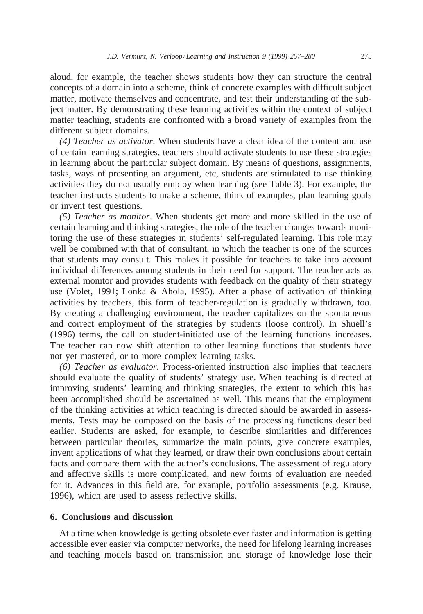aloud, for example, the teacher shows students how they can structure the central concepts of a domain into a scheme, think of concrete examples with difficult subject matter, motivate themselves and concentrate, and test their understanding of the subject matter. By demonstrating these learning activities within the context of subject matter teaching, students are confronted with a broad variety of examples from the different subject domains.

*(4) Teacher as activator*. When students have a clear idea of the content and use of certain learning strategies, teachers should activate students to use these strategies in learning about the particular subject domain. By means of questions, assignments, tasks, ways of presenting an argument, etc, students are stimulated to use thinking activities they do not usually employ when learning (see Table 3). For example, the teacher instructs students to make a scheme, think of examples, plan learning goals or invent test questions.

*(5) Teacher as monitor*. When students get more and more skilled in the use of certain learning and thinking strategies, the role of the teacher changes towards monitoring the use of these strategies in students' self-regulated learning. This role may well be combined with that of consultant, in which the teacher is one of the sources that students may consult. This makes it possible for teachers to take into account individual differences among students in their need for support. The teacher acts as external monitor and provides students with feedback on the quality of their strategy use (Volet, 1991; Lonka & Ahola, 1995). After a phase of activation of thinking activities by teachers, this form of teacher-regulation is gradually withdrawn, too. By creating a challenging environment, the teacher capitalizes on the spontaneous and correct employment of the strategies by students (loose control). In Shuell's (1996) terms, the call on student-initiated use of the learning functions increases. The teacher can now shift attention to other learning functions that students have not yet mastered, or to more complex learning tasks.

*(6) Teacher as evaluator*. Process-oriented instruction also implies that teachers should evaluate the quality of students' strategy use. When teaching is directed at improving students' learning and thinking strategies, the extent to which this has been accomplished should be ascertained as well. This means that the employment of the thinking activities at which teaching is directed should be awarded in assessments. Tests may be composed on the basis of the processing functions described earlier. Students are asked, for example, to describe similarities and differences between particular theories, summarize the main points, give concrete examples, invent applications of what they learned, or draw their own conclusions about certain facts and compare them with the author's conclusions. The assessment of regulatory and affective skills is more complicated, and new forms of evaluation are needed for it. Advances in this field are, for example, portfolio assessments (e.g. Krause, 1996), which are used to assess reflective skills.

#### **6. Conclusions and discussion**

At a time when knowledge is getting obsolete ever faster and information is getting accessible ever easier via computer networks, the need for lifelong learning increases and teaching models based on transmission and storage of knowledge lose their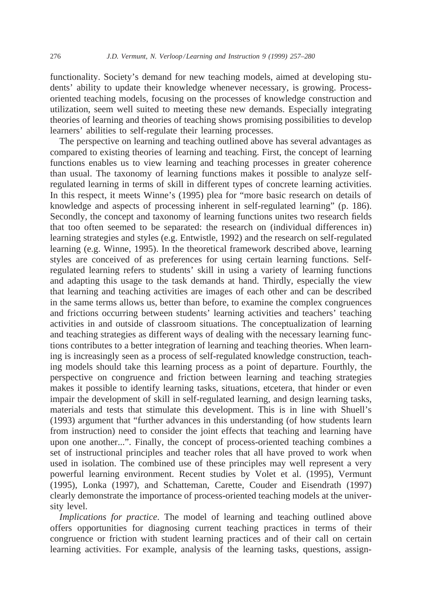functionality. Society's demand for new teaching models, aimed at developing students' ability to update their knowledge whenever necessary, is growing. Processoriented teaching models, focusing on the processes of knowledge construction and utilization, seem well suited to meeting these new demands. Especially integrating theories of learning and theories of teaching shows promising possibilities to develop learners' abilities to self-regulate their learning processes.

The perspective on learning and teaching outlined above has several advantages as compared to existing theories of learning and teaching. First, the concept of learning functions enables us to view learning and teaching processes in greater coherence than usual. The taxonomy of learning functions makes it possible to analyze selfregulated learning in terms of skill in different types of concrete learning activities. In this respect, it meets Winne's (1995) plea for "more basic research on details of knowledge and aspects of processing inherent in self-regulated learning" (p. 186). Secondly, the concept and taxonomy of learning functions unites two research fields that too often seemed to be separated: the research on (individual differences in) learning strategies and styles (e.g. Entwistle, 1992) and the research on self-regulated learning (e.g. Winne, 1995). In the theoretical framework described above, learning styles are conceived of as preferences for using certain learning functions. Selfregulated learning refers to students' skill in using a variety of learning functions and adapting this usage to the task demands at hand. Thirdly, especially the view that learning and teaching activities are images of each other and can be described in the same terms allows us, better than before, to examine the complex congruences and frictions occurring between students' learning activities and teachers' teaching activities in and outside of classroom situations. The conceptualization of learning and teaching strategies as different ways of dealing with the necessary learning functions contributes to a better integration of learning and teaching theories. When learning is increasingly seen as a process of self-regulated knowledge construction, teaching models should take this learning process as a point of departure. Fourthly, the perspective on congruence and friction between learning and teaching strategies makes it possible to identify learning tasks, situations, etcetera, that hinder or even impair the development of skill in self-regulated learning, and design learning tasks, materials and tests that stimulate this development. This is in line with Shuell's (1993) argument that "further advances in this understanding (of how students learn from instruction) need to consider the joint effects that teaching and learning have upon one another...". Finally, the concept of process-oriented teaching combines a set of instructional principles and teacher roles that all have proved to work when used in isolation. The combined use of these principles may well represent a very powerful learning environment. Recent studies by Volet et al. (1995), Vermunt (1995), Lonka (1997), and Schatteman, Carette, Couder and Eisendrath (1997) clearly demonstrate the importance of process-oriented teaching models at the university level.

*Implications for practice*. The model of learning and teaching outlined above offers opportunities for diagnosing current teaching practices in terms of their congruence or friction with student learning practices and of their call on certain learning activities. For example, analysis of the learning tasks, questions, assign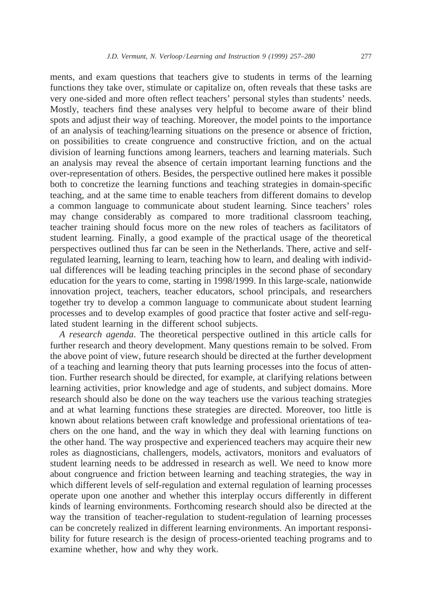ments, and exam questions that teachers give to students in terms of the learning functions they take over, stimulate or capitalize on, often reveals that these tasks are very one-sided and more often reflect teachers' personal styles than students' needs. Mostly, teachers find these analyses very helpful to become aware of their blind spots and adjust their way of teaching. Moreover, the model points to the importance of an analysis of teaching/learning situations on the presence or absence of friction, on possibilities to create congruence and constructive friction, and on the actual division of learning functions among learners, teachers and learning materials. Such an analysis may reveal the absence of certain important learning functions and the over-representation of others. Besides, the perspective outlined here makes it possible both to concretize the learning functions and teaching strategies in domain-specific teaching, and at the same time to enable teachers from different domains to develop a common language to communicate about student learning. Since teachers' roles may change considerably as compared to more traditional classroom teaching, teacher training should focus more on the new roles of teachers as facilitators of student learning. Finally, a good example of the practical usage of the theoretical perspectives outlined thus far can be seen in the Netherlands. There, active and selfregulated learning, learning to learn, teaching how to learn, and dealing with individual differences will be leading teaching principles in the second phase of secondary education for the years to come, starting in 1998/1999. In this large-scale, nationwide innovation project, teachers, teacher educators, school principals, and researchers together try to develop a common language to communicate about student learning processes and to develop examples of good practice that foster active and self-regulated student learning in the different school subjects.

*A research agenda*. The theoretical perspective outlined in this article calls for further research and theory development. Many questions remain to be solved. From the above point of view, future research should be directed at the further development of a teaching and learning theory that puts learning processes into the focus of attention. Further research should be directed, for example, at clarifying relations between learning activities, prior knowledge and age of students, and subject domains. More research should also be done on the way teachers use the various teaching strategies and at what learning functions these strategies are directed. Moreover, too little is known about relations between craft knowledge and professional orientations of teachers on the one hand, and the way in which they deal with learning functions on the other hand. The way prospective and experienced teachers may acquire their new roles as diagnosticians, challengers, models, activators, monitors and evaluators of student learning needs to be addressed in research as well. We need to know more about congruence and friction between learning and teaching strategies, the way in which different levels of self-regulation and external regulation of learning processes operate upon one another and whether this interplay occurs differently in different kinds of learning environments. Forthcoming research should also be directed at the way the transition of teacher-regulation to student-regulation of learning processes can be concretely realized in different learning environments. An important responsibility for future research is the design of process-oriented teaching programs and to examine whether, how and why they work.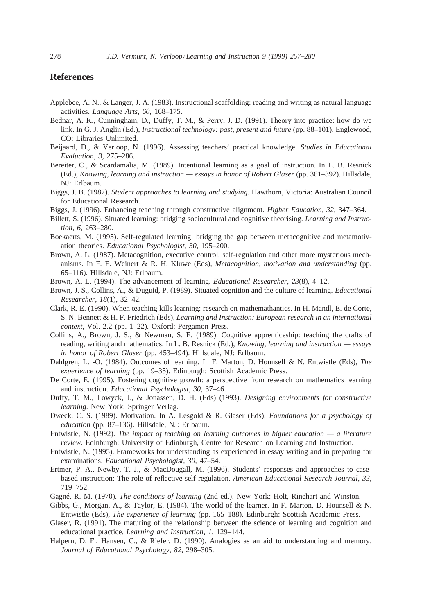#### **References**

- Applebee, A. N., & Langer, J. A. (1983). Instructional scaffolding: reading and writing as natural language activities. *Language Arts*, *60*, 168–175.
- Bednar, A. K., Cunningham, D., Duffy, T. M., & Perry, J. D. (1991). Theory into practice: how do we link. In G. J. Anglin (Ed.), *Instructional technology: past, present and future* (pp. 88–101). Englewood, CO: Libraries Unlimited.
- Beijaard, D., & Verloop, N. (1996). Assessing teachers' practical knowledge. *Studies in Educational Evaluation*, *3*, 275–286.
- Bereiter, C., & Scardamalia, M. (1989). Intentional learning as a goal of instruction. In L. B. Resnick (Ed.), *Knowing, learning and instruction — essays in honor of Robert Glaser* (pp. 361–392). Hillsdale, NJ: Erlbaum.
- Biggs, J. B. (1987). *Student approaches to learning and studying*. Hawthorn, Victoria: Australian Council for Educational Research.
- Biggs, J. (1996). Enhancing teaching through constructive alignment. *Higher Education*, *32*, 347–364.
- Billett, S. (1996). Situated learning: bridging sociocultural and cognitive theorising. *Learning and Instruction*, *6*, 263–280.
- Boekaerts, M. (1995). Self-regulated learning: bridging the gap between metacognitive and metamotivation theories. *Educational Psychologist*, *30*, 195–200.
- Brown, A. L. (1987). Metacognition, executive control, self-regulation and other more mysterious mechanisms. In F. E. Weinert & R. H. Kluwe (Eds), *Metacognition, motivation and understanding* (pp. 65–116). Hillsdale, NJ: Erlbaum.
- Brown, A. L. (1994). The advancement of learning. *Educational Researcher*, *23*(8), 4–12.
- Brown, J. S., Collins, A., & Duguid, P. (1989). Situated cognition and the culture of learning. *Educational Researcher*, *18*(1), 32–42.
- Clark, R. E. (1990). When teaching kills learning: research on mathemathantics. In H. Mandl, E. de Corte, S. N. Bennett & H. F. Friedrich (Eds), *Learning and Instruction: European research in an international context*, Vol. 2.2 (pp. 1–22). Oxford: Pergamon Press.
- Collins, A., Brown, J. S., & Newman, S. E. (1989). Cognitive apprenticeship: teaching the crafts of reading, writing and mathematics. In L. B. Resnick (Ed.), *Knowing, learning and instruction — essays in honor of Robert Glaser* (pp. 453–494). Hillsdale, NJ: Erlbaum.
- Dahlgren, L. -O. (1984). Outcomes of learning. In F. Marton, D. Hounsell & N. Entwistle (Eds), *The experience of learning* (pp. 19–35). Edinburgh: Scottish Academic Press.
- De Corte, E. (1995). Fostering cognitive growth: a perspective from research on mathematics learning and instruction. *Educational Psychologist*, *30*, 37–46.
- Duffy, T. M., Lowyck, J., & Jonassen, D. H. (Eds) (1993). *Designing environments for constructive learning*. New York: Springer Verlag.
- Dweck, C. S. (1989). Motivation. In A. Lesgold & R. Glaser (Eds), *Foundations for a psychology of education* (pp. 87–136). Hillsdale, NJ: Erlbaum.
- Entwistle, N. (1992). *The impact of teaching on learning outcomes in higher education a literature review*. Edinburgh: University of Edinburgh, Centre for Research on Learning and Instruction.
- Entwistle, N. (1995). Frameworks for understanding as experienced in essay writing and in preparing for examinations. *Educational Psychologist*, *30*, 47–54.
- Ertmer, P. A., Newby, T. J., & MacDougall, M. (1996). Students' responses and approaches to casebased instruction: The role of reflective self-regulation. *American Educational Research Journal*, *33*, 719–752.
- Gagne´, R. M. (1970). *The conditions of learning* (2nd ed.). New York: Holt, Rinehart and Winston.
- Gibbs, G., Morgan, A., & Taylor, E. (1984). The world of the learner. In F. Marton, D. Hounsell & N. Entwistle (Eds), *The experience of learning* (pp. 165–188). Edinburgh: Scottish Academic Press.
- Glaser, R. (1991). The maturing of the relationship between the science of learning and cognition and educational practice. *Learning and Instruction*, *1*, 129–144.
- Halpern, D. F., Hansen, C., & Riefer, D. (1990). Analogies as an aid to understanding and memory. *Journal of Educational Psychology*, *82*, 298–305.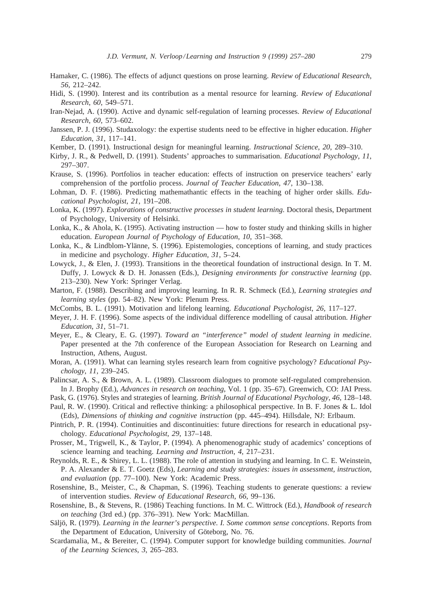- Hamaker, C. (1986). The effects of adjunct questions on prose learning. *Review of Educational Research*, *56*, 212–242.
- Hidi, S. (1990). Interest and its contribution as a mental resource for learning. *Review of Educational Research*, *60*, 549–571.
- Iran-Nejad, A. (1990). Active and dynamic self-regulation of learning processes. *Review of Educational Research*, *60*, 573–602.
- Janssen, P. J. (1996). Studaxology: the expertise students need to be effective in higher education. *Higher Education*, *31*, 117–141.
- Kember, D. (1991). Instructional design for meaningful learning. *Instructional Science*, *20*, 289–310.
- Kirby, J. R., & Pedwell, D. (1991). Students' approaches to summarisation. *Educational Psychology*, *11*, 297–307.
- Krause, S. (1996). Portfolios in teacher education: effects of instruction on preservice teachers' early comprehension of the portfolio process. *Journal of Teacher Education*, *47*, 130–138.
- Lohman, D. F. (1986). Predicting mathemathantic effects in the teaching of higher order skills. *Educational Psychologist*, *21*, 191–208.
- Lonka, K. (1997). *Explorations of constructive processes in student learning*. Doctoral thesis, Department of Psychology, University of Helsinki.
- Lonka, K., & Ahola, K. (1995). Activating instruction how to foster study and thinking skills in higher education. *European Journal of Psychology of Education*, *10*, 351–368.
- Lonka, K., & Lindblom-Ylänne, S. (1996). Epistemologies, conceptions of learning, and study practices in medicine and psychology. *Higher Education*, *31*, 5–24.
- Lowyck, J., & Elen, J. (1993). Transitions in the theoretical foundation of instructional design. In T. M. Duffy, J. Lowyck & D. H. Jonassen (Eds.), *Designing environments for constructive learning* (pp. 213–230). New York: Springer Verlag.
- Marton, F. (1988). Describing and improving learning. In R. R. Schmeck (Ed.), *Learning strategies and learning styles* (pp. 54–82). New York: Plenum Press.
- McCombs, B. L. (1991). Motivation and lifelong learning. *Educational Psychologist*, *26*, 117–127.
- Meyer, J. H. F. (1996). Some aspects of the individual difference modelling of causal attribution. *Higher Education*, *31*, 51–71.
- Meyer, E., & Cleary, E. G. (1997). *Toward an "interference" model of student learning in medicine*. Paper presented at the 7th conference of the European Association for Research on Learning and Instruction, Athens, August.
- Moran, A. (1991). What can learning styles research learn from cognitive psychology? *Educational Psychology*, *11*, 239–245.
- Palincsar, A. S., & Brown, A. L. (1989). Classroom dialogues to promote self-regulated comprehension. In J. Brophy (Ed.), *Advances in research on teaching*, Vol. 1 (pp. 35–67). Greenwich, CO: JAI Press.
- Pask, G. (1976). Styles and strategies of learning. *British Journal of Educational Psychology*, *46*, 128–148.
- Paul, R. W. (1990). Critical and reflective thinking: a philosophical perspective. In B. F. Jones & L. Idol (Eds), *Dimensions of thinking and cognitive instruction* (pp. 445–494). Hillsdale, NJ: Erlbaum.
- Pintrich, P. R. (1994). Continuities and discontinuities: future directions for research in educational psychology. *Educational Psychologist*, *29*, 137–148.
- Prosser, M., Trigwell, K., & Taylor, P. (1994). A phenomenographic study of academics' conceptions of science learning and teaching. *Learning and Instruction*, *4*, 217–231.
- Reynolds, R. E., & Shirey, L. L. (1988). The role of attention in studying and learning. In C. E. Weinstein, P. A. Alexander & E. T. Goetz (Eds), *Learning and study strategies: issues in assessment, instruction, and evaluation* (pp. 77–100). New York: Academic Press.
- Rosenshine, B., Meister, C., & Chapman, S. (1996). Teaching students to generate questions: a review of intervention studies. *Review of Educational Research*, *66*, 99–136.
- Rosenshine, B., & Stevens, R. (1986) Teaching functions. In M. C. Wittrock (Ed.), *Handbook of research on teaching* (3rd ed.) (pp. 376–391). New York: MacMillan.
- Säljö, R. (1979). *Learning in the learner's perspective. I. Some common sense conceptions*. Reports from the Department of Education, University of Göteborg, No. 76.
- Scardamalia, M., & Bereiter, C. (1994). Computer support for knowledge building communities. *Journal of the Learning Sciences*, *3*, 265–283.